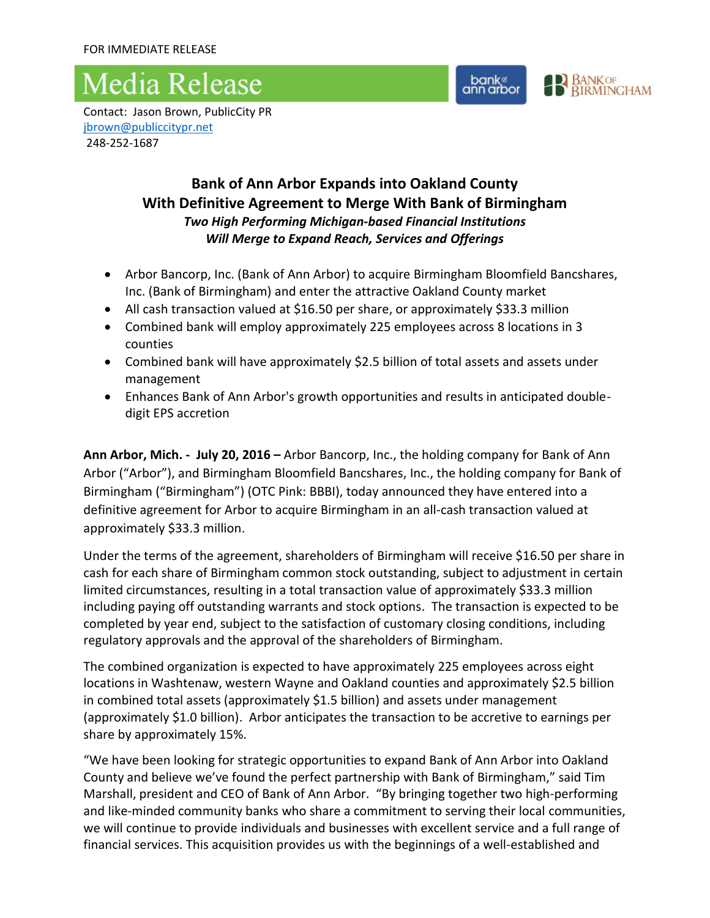## Media Release





Contact: Jason Brown, PublicCity PR [jbrown@publiccitypr.net](mailto:jbrown@publiccitypr.net) 248-252-1687

### **Bank of Ann Arbor Expands into Oakland County With Definitive Agreement to Merge With Bank of Birmingham**  *Two High Performing Michigan-based Financial Institutions Will Merge to Expand Reach, Services and Offerings*

- Arbor Bancorp, Inc. (Bank of Ann Arbor) to acquire Birmingham Bloomfield Bancshares, Inc. (Bank of Birmingham) and enter the attractive Oakland County market
- All cash transaction valued at \$16.50 per share, or approximately \$33.3 million
- Combined bank will employ approximately 225 employees across 8 locations in 3 counties
- Combined bank will have approximately \$2.5 billion of total assets and assets under management
- Enhances Bank of Ann Arbor's growth opportunities and results in anticipated doubledigit EPS accretion

**Ann Arbor, Mich. - July 20, 2016 –** Arbor Bancorp, Inc., the holding company for Bank of Ann Arbor ("Arbor"), and Birmingham Bloomfield Bancshares, Inc., the holding company for Bank of Birmingham ("Birmingham") (OTC Pink: BBBI), today announced they have entered into a definitive agreement for Arbor to acquire Birmingham in an all-cash transaction valued at approximately \$33.3 million.

Under the terms of the agreement, shareholders of Birmingham will receive \$16.50 per share in cash for each share of Birmingham common stock outstanding, subject to adjustment in certain limited circumstances, resulting in a total transaction value of approximately \$33.3 million including paying off outstanding warrants and stock options. The transaction is expected to be completed by year end, subject to the satisfaction of customary closing conditions, including regulatory approvals and the approval of the shareholders of Birmingham.

The combined organization is expected to have approximately 225 employees across eight locations in Washtenaw, western Wayne and Oakland counties and approximately \$2.5 billion in combined total assets (approximately \$1.5 billion) and assets under management (approximately \$1.0 billion). Arbor anticipates the transaction to be accretive to earnings per share by approximately 15%.

"We have been looking for strategic opportunities to expand Bank of Ann Arbor into Oakland County and believe we've found the perfect partnership with Bank of Birmingham," said Tim Marshall, president and CEO of Bank of Ann Arbor. "By bringing together two high-performing and like-minded community banks who share a commitment to serving their local communities, we will continue to provide individuals and businesses with excellent service and a full range of financial services. This acquisition provides us with the beginnings of a well-established and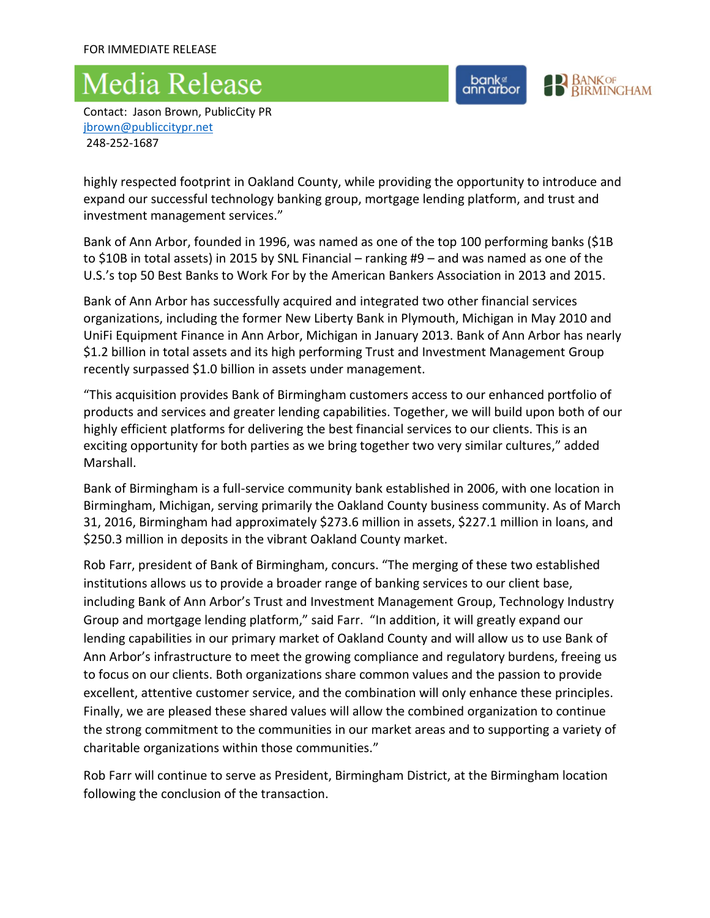# **Media Release**

bank<sup>e</sup><br>ann arbor

**BANKOF**<br>BIRMINGHAM

Contact: Jason Brown, PublicCity PR [jbrown@publiccitypr.net](mailto:jbrown@publiccitypr.net) 248-252-1687

highly respected footprint in Oakland County, while providing the opportunity to introduce and expand our successful technology banking group, mortgage lending platform, and trust and investment management services."

Bank of Ann Arbor, founded in 1996, was named as one of the top 100 performing banks (\$1B to \$10B in total assets) in 2015 by SNL Financial – ranking #9 – and was named as one of the U.S.'s top 50 Best Banks to Work For by the American Bankers Association in 2013 and 2015.

Bank of Ann Arbor has successfully acquired and integrated two other financial services organizations, including the former New Liberty Bank in Plymouth, Michigan in May 2010 and UniFi Equipment Finance in Ann Arbor, Michigan in January 2013. Bank of Ann Arbor has nearly \$1.2 billion in total assets and its high performing Trust and Investment Management Group recently surpassed \$1.0 billion in assets under management.

"This acquisition provides Bank of Birmingham customers access to our enhanced portfolio of products and services and greater lending capabilities. Together, we will build upon both of our highly efficient platforms for delivering the best financial services to our clients. This is an exciting opportunity for both parties as we bring together two very similar cultures," added Marshall.

Bank of Birmingham is a full-service community bank established in 2006, with one location in Birmingham, Michigan, serving primarily the Oakland County business community. As of March 31, 2016, Birmingham had approximately \$273.6 million in assets, \$227.1 million in loans, and \$250.3 million in deposits in the vibrant Oakland County market.

Rob Farr, president of Bank of Birmingham, concurs. "The merging of these two established institutions allows us to provide a broader range of banking services to our client base, including Bank of Ann Arbor's Trust and Investment Management Group, Technology Industry Group and mortgage lending platform," said Farr. "In addition, it will greatly expand our lending capabilities in our primary market of Oakland County and will allow us to use Bank of Ann Arbor's infrastructure to meet the growing compliance and regulatory burdens, freeing us to focus on our clients. Both organizations share common values and the passion to provide excellent, attentive customer service, and the combination will only enhance these principles. Finally, we are pleased these shared values will allow the combined organization to continue the strong commitment to the communities in our market areas and to supporting a variety of charitable organizations within those communities."

Rob Farr will continue to serve as President, Birmingham District, at the Birmingham location following the conclusion of the transaction.